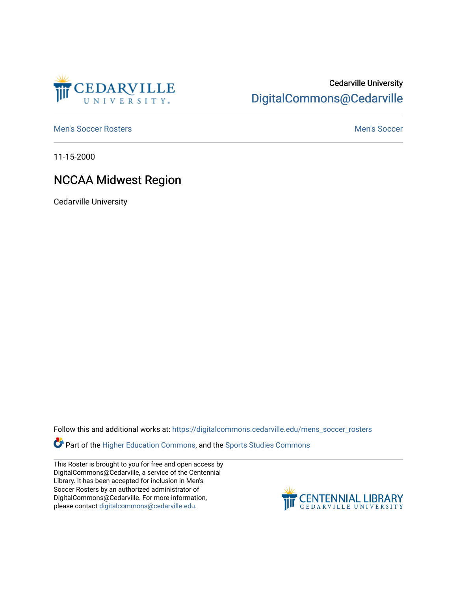

## Cedarville University [DigitalCommons@Cedarville](https://digitalcommons.cedarville.edu/)

[Men's Soccer Rosters](https://digitalcommons.cedarville.edu/mens_soccer_rosters) [Men's Soccer](https://digitalcommons.cedarville.edu/mens_soccer) Exercise Men's Soccer Men's Soccer Men's Soccer

11-15-2000

## NCCAA Midwest Region

Cedarville University

Follow this and additional works at: [https://digitalcommons.cedarville.edu/mens\\_soccer\\_rosters](https://digitalcommons.cedarville.edu/mens_soccer_rosters?utm_source=digitalcommons.cedarville.edu%2Fmens_soccer_rosters%2F135&utm_medium=PDF&utm_campaign=PDFCoverPages) 

Part of the [Higher Education Commons,](http://network.bepress.com/hgg/discipline/1245?utm_source=digitalcommons.cedarville.edu%2Fmens_soccer_rosters%2F135&utm_medium=PDF&utm_campaign=PDFCoverPages) and the [Sports Studies Commons](http://network.bepress.com/hgg/discipline/1198?utm_source=digitalcommons.cedarville.edu%2Fmens_soccer_rosters%2F135&utm_medium=PDF&utm_campaign=PDFCoverPages) 

This Roster is brought to you for free and open access by DigitalCommons@Cedarville, a service of the Centennial Library. It has been accepted for inclusion in Men's Soccer Rosters by an authorized administrator of DigitalCommons@Cedarville. For more information, please contact [digitalcommons@cedarville.edu](mailto:digitalcommons@cedarville.edu).